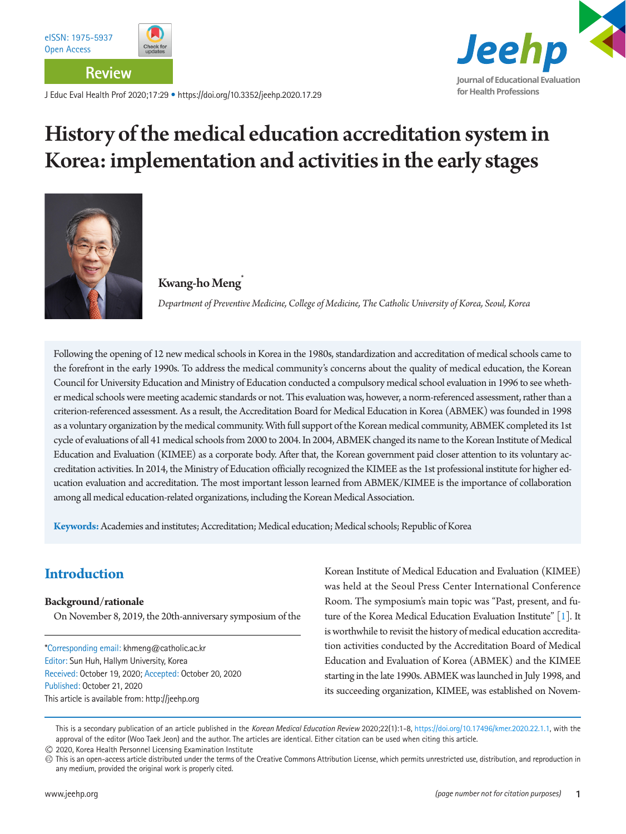**Review**

J Educ Eval Health Prof 2020;17:29 • https://doi.org/10.3352/jeehp.2020.17.29

# History of the medical education accreditation system in Korea: implementation and activities in the early stages



#### Kwang-ho Meng\*

 *Department of Preventive Medicine, College of Medicine, The Catholic University of Korea, Seoul, Korea*

Following the opening of 12 new medical schools in Korea in the 1980s, standardization and accreditation of medical schools came to the forefront in the early 1990s. To address the medical community's concerns about the quality of medical education, the Korean Council for University Education and Ministry of Education conducted a compulsory medical school evaluation in 1996 to see whether medical schools were meeting academic standards or not. This evaluation was, however, a norm-referenced assessment, rather than a criterion-referenced assessment. As a result, the Accreditation Board for Medical Education in Korea (ABMEK) was founded in 1998 as a voluntary organization by the medical community. With full support of the Korean medical community, ABMEK completed its 1st cycle of evaluations of all 41 medical schools from 2000 to 2004. In 2004, ABMEK changed its name to the Korean Institute of Medical Education and Evaluation (KIMEE) as a corporate body. After that, the Korean government paid closer attention to its voluntary accreditation activities. In 2014, the Ministry of Education officially recognized the KIMEE as the 1st professional institute for higher education evaluation and accreditation. The most important lesson learned from ABMEK/KIMEE is the importance of collaboration among all medical education-related organizations, including the Korean Medical Association.

**Keywords:** Academies and institutes; Accreditation; Medical education; Medical schools; Republic of Korea

# **Introduction**

#### **Background/rationale**

On November 8, 2019, the 20th-anniversary symposium of the

\*Corresponding email: khmeng@catholic.ac.kr Editor: Sun Huh, Hallym University, Korea Received: October 19, 2020; Accepted: October 20, 2020 Published: October 21, 2020 This article is available from: http://jeehp.org

Korean Institute of Medical Education and Evaluation (KIMEE) was held at the Seoul Press Center International Conference Room. The symposium's main topic was "Past, present, and future of the Korea Medical Education Evaluation Institute" [\[1](#page-6-0)]. It is worthwhile to revisit the history of medical education accreditation activities conducted by the Accreditation Board of Medical Education and Evaluation of Korea (ABMEK) and the KIMEE starting in the late 1990s. ABMEK was launched in July 1998, and its succeeding organization, KIMEE, was established on Novem-

This is a secondary publication of an article published in the *Korean Medical Education Review* 2020;22(1):1-8, <https://doi.org/10.17496/kmer.2020.22.1.1>, with the approval of the editor (Woo Taek Jeon) and the author. The articles are identical. Either citation can be used when citing this article. 2020, Korea Health Personnel Licensing Examination Institute

This is an open-access article distributed under the terms of the Creative Commons Attribution License, which permits unrestricted use, distribution, and reproduction in any medium, provided the original work is properly cited.

**Journal of Educational Evaluation**

Jeehp

**for Health Professions**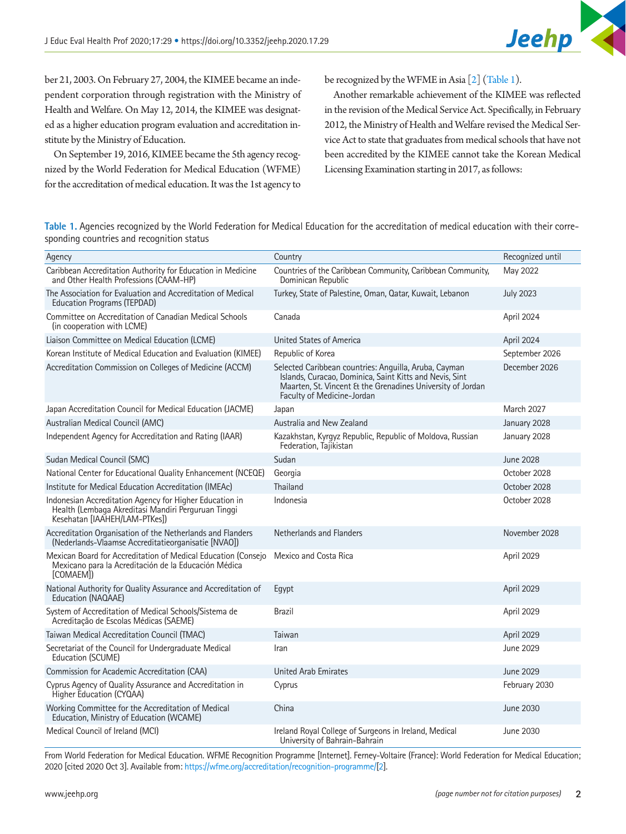

ber 21, 2003. On February 27, 2004, the KIMEE became an independent corporation through registration with the Ministry of Health and Welfare. On May 12, 2014, the KIMEE was designated as a higher education program evaluation and accreditation institute by the Ministry of Education.

On September 19, 2016, KIMEE became the 5th agency recognized by the World Federation for Medical Education (WFME) for the accreditation of medical education. It was the 1st agency to

be recognized by the WFME in Asia [\[2\]](#page-6-1) [\(Table 1](#page-1-0)).

Another remarkable achievement of the KIMEE was reflected in the revision of the Medical Service Act. Specifically, in February 2012, the Ministry of Health and Welfare revised the Medical Service Act to state that graduates from medical schools that have not been accredited by the KIMEE cannot take the Korean Medical Licensing Examination starting in 2017, as follows:

<span id="page-1-0"></span>**Table 1.** Agencies recognized by the World Federation for Medical Education for the accreditation of medical education with their corresponding countries and recognition status

| Agency                                                                                                                                          | Country                                                                                                                                                                                                      | Recognized until |
|-------------------------------------------------------------------------------------------------------------------------------------------------|--------------------------------------------------------------------------------------------------------------------------------------------------------------------------------------------------------------|------------------|
| Caribbean Accreditation Authority for Education in Medicine<br>and Other Health Professions (CAAM-HP)                                           | Countries of the Caribbean Community, Caribbean Community,<br>Dominican Republic                                                                                                                             | May 2022         |
| The Association for Evaluation and Accreditation of Medical<br><b>Education Programs (TEPDAD)</b>                                               | Turkey, State of Palestine, Oman, Qatar, Kuwait, Lebanon                                                                                                                                                     | <b>July 2023</b> |
| Committee on Accreditation of Canadian Medical Schools<br>(in cooperation with LCME)                                                            | Canada                                                                                                                                                                                                       | April 2024       |
| Liaison Committee on Medical Education (LCME)                                                                                                   | United States of America                                                                                                                                                                                     | April 2024       |
| Korean Institute of Medical Education and Evaluation (KIMEE)                                                                                    | Republic of Korea                                                                                                                                                                                            | September 2026   |
| Accreditation Commission on Colleges of Medicine (ACCM)                                                                                         | Selected Caribbean countries: Anguilla, Aruba, Cayman<br>Islands, Curacao, Dominica, Saint Kitts and Nevis, Sint<br>Maarten, St. Vincent & the Grenadines University of Jordan<br>Faculty of Medicine-Jordan | December 2026    |
| Japan Accreditation Council for Medical Education (JACME)                                                                                       | Japan                                                                                                                                                                                                        | March 2027       |
| Australian Medical Council (AMC)                                                                                                                | Australia and New Zealand                                                                                                                                                                                    | January 2028     |
| Independent Agency for Accreditation and Rating (IAAR)                                                                                          | Kazakhstan, Kyrgyz Republic, Republic of Moldova, Russian<br>Federation, Tajikistan                                                                                                                          | January 2028     |
| Sudan Medical Council (SMC)                                                                                                                     | Sudan                                                                                                                                                                                                        | <b>June 2028</b> |
| National Center for Educational Quality Enhancement (NCEQE)                                                                                     | Georgia                                                                                                                                                                                                      | October 2028     |
| Institute for Medical Education Accreditation (IMEAc)                                                                                           | Thailand                                                                                                                                                                                                     | October 2028     |
| Indonesian Accreditation Agency for Higher Education in<br>Health (Lembaga Akreditasi Mandiri Perguruan Tinggi<br>Kesehatan [IAAHEH/LAM-PTKes]) | Indonesia                                                                                                                                                                                                    | October 2028     |
| Accreditation Organisation of the Netherlands and Flanders<br>(Nederlands-Vlaamse Accreditatieorganisatie [NVAO])                               | Netherlands and Flanders                                                                                                                                                                                     | November 2028    |
| Mexican Board for Accreditation of Medical Education (Consejo<br>Mexicano para la Acreditación de la Educación Médica<br>[COMAEM])              | Mexico and Costa Rica                                                                                                                                                                                        | April 2029       |
| National Authority for Quality Assurance and Accreditation of<br>Education (NAQAAE)                                                             | Egypt                                                                                                                                                                                                        | April 2029       |
| System of Accreditation of Medical Schools/Sistema de<br>Acreditação de Escolas Médicas (SAEME)                                                 | <b>Brazil</b>                                                                                                                                                                                                | April 2029       |
| Taiwan Medical Accreditation Council (TMAC)                                                                                                     | Taiwan                                                                                                                                                                                                       | April 2029       |
| Secretariat of the Council for Undergraduate Medical<br>Education (SCUME)                                                                       | Iran                                                                                                                                                                                                         | June 2029        |
| Commission for Academic Accreditation (CAA)                                                                                                     | United Arab Emirates                                                                                                                                                                                         | June 2029        |
| Cyprus Agency of Quality Assurance and Accreditation in<br>Higher Education (CYQAA)                                                             | Cyprus                                                                                                                                                                                                       | February 2030    |
| Working Committee for the Accreditation of Medical<br>Education, Ministry of Education (WCAME)                                                  | China                                                                                                                                                                                                        | June 2030        |
| Medical Council of Ireland (MCI)                                                                                                                | Ireland Royal College of Surgeons in Ireland, Medical<br>University of Bahrain-Bahrain                                                                                                                       | June 2030        |

From World Federation for Medical Education. WFME Recognition Programme [Internet]. Ferney-Voltaire (France): World Federation for Medical Education; 2020 [cited 2020 Oct 3]. Available from: <https://wfme.org/accreditation/recognition-programme/>[[2\]](#page-6-1).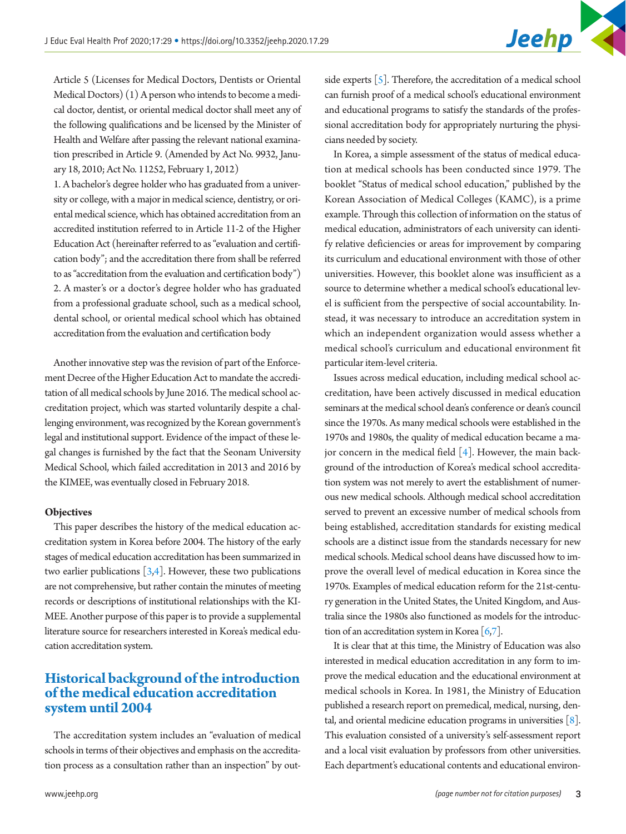Article 5 (Licenses for Medical Doctors, Dentists or Oriental Medical Doctors) (1) A person who intends to become a medical doctor, dentist, or oriental medical doctor shall meet any of the following qualifications and be licensed by the Minister of Health and Welfare after passing the relevant national examination prescribed in Article 9. (Amended by Act No. 9932, January 18, 2010; Act No. 11252, February 1, 2012)

1. A bachelor's degree holder who has graduated from a university or college, with a major in medical science, dentistry, or oriental medical science, which has obtained accreditation from an accredited institution referred to in Article 11-2 of the Higher Education Act (hereinafter referred to as "evaluation and certification body"; and the accreditation there from shall be referred to as "accreditation from the evaluation and certification body") 2. A master's or a doctor's degree holder who has graduated from a professional graduate school, such as a medical school, dental school, or oriental medical school which has obtained accreditation from the evaluation and certification body

Another innovative step was the revision of part of the Enforcement Decree of the Higher Education Act to mandate the accreditation of all medical schools by June 2016. The medical school accreditation project, which was started voluntarily despite a challenging environment, was recognized by the Korean government's legal and institutional support. Evidence of the impact of these legal changes is furnished by the fact that the Seonam University Medical School, which failed accreditation in 2013 and 2016 by the KIMEE, was eventually closed in February 2018.

#### **Objectives**

This paper describes the history of the medical education accreditation system in Korea before 2004. The history of the early stages of medical education accreditation has been summarized in two earlier publications  $[3,4]$  $[3,4]$ . However, these two publications are not comprehensive, but rather contain the minutes of meeting records or descriptions of institutional relationships with the KI-MEE. Another purpose of this paper is to provide a supplemental literature source for researchers interested in Korea's medical education accreditation system.

# **Historical background of the introduction of the medical education accreditation system until 2004**

The accreditation system includes an "evaluation of medical schools in terms of their objectives and emphasis on the accreditation process as a consultation rather than an inspection" by outside experts  $\lceil 5 \rceil$ . Therefore, the accreditation of a medical school can furnish proof of a medical school's educational environment and educational programs to satisfy the standards of the professional accreditation body for appropriately nurturing the physicians needed by society.

In Korea, a simple assessment of the status of medical education at medical schools has been conducted since 1979. The booklet "Status of medical school education," published by the Korean Association of Medical Colleges (KAMC), is a prime example. Through this collection of information on the status of medical education, administrators of each university can identify relative deficiencies or areas for improvement by comparing its curriculum and educational environment with those of other universities. However, this booklet alone was insufficient as a source to determine whether a medical school's educational level is sufficient from the perspective of social accountability. Instead, it was necessary to introduce an accreditation system in which an independent organization would assess whether a medical school's curriculum and educational environment fit particular item-level criteria.

Issues across medical education, including medical school accreditation, have been actively discussed in medical education seminars at the medical school dean's conference or dean's council since the 1970s. As many medical schools were established in the 1970s and 1980s, the quality of medical education became a major concern in the medical field  $[4]$  $[4]$ . However, the main background of the introduction of Korea's medical school accreditation system was not merely to avert the establishment of numerous new medical schools. Although medical school accreditation served to prevent an excessive number of medical schools from being established, accreditation standards for existing medical schools are a distinct issue from the standards necessary for new medical schools. Medical school deans have discussed how to improve the overall level of medical education in Korea since the 1970s. Examples of medical education reform for the 21st-century generation in the United States, the United Kingdom, and Australia since the 1980s also functioned as models for the introduction of an accreditation system in Korea  $\lceil 6, 7 \rceil$ .

It is clear that at this time, the Ministry of Education was also interested in medical education accreditation in any form to improve the medical education and the educational environment at medical schools in Korea. In 1981, the Ministry of Education published a research report on premedical, medical, nursing, dental, and oriental medicine education programs in universities [\[8\]](#page-7-0). This evaluation consisted of a university's self-assessment report and a local visit evaluation by professors from other universities. Each department's educational contents and educational environ-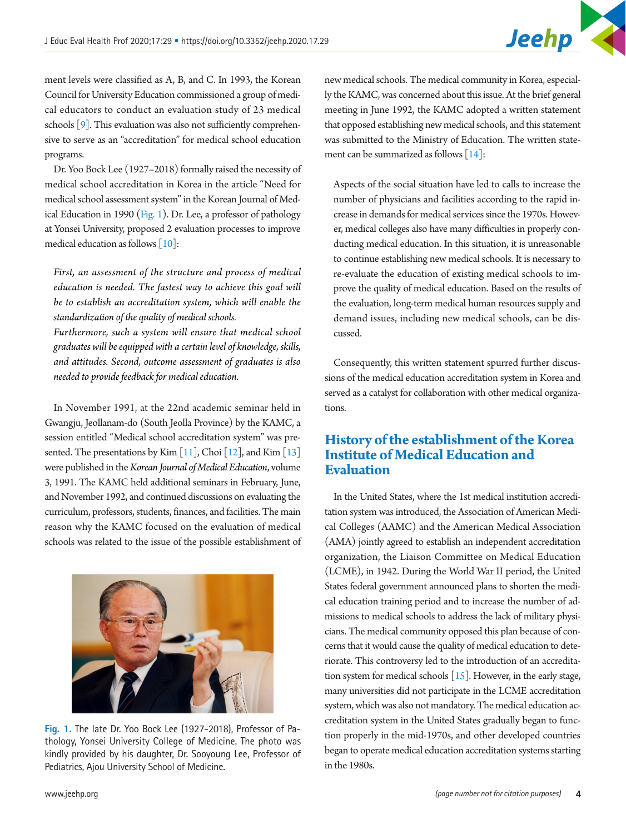

ment levels were classified as A, B, and C. In 1993, the Korean Council for University Education commissioned a group of medical educators to conduct an evaluation study of 23 medical schools [\[9](#page-7-1)]. This evaluation was also not sufficiently comprehensive to serve as an "accreditation" for medical school education programs.

Dr. Yoo Bock Lee (1927–2018) formally raised the necessity of medical school accreditation in Korea in the article "Need for medical school assessment system" in the Korean Journal of Medical Education in 1990 [\(Fig. 1](#page-3-0)). Dr. Lee, a professor of pathology at Yonsei University, proposed 2 evaluation processes to improve medical education as follows [\[10](#page-7-2)]:

*First, an assessment of the structure and process of medical education is needed. The fastest way to achieve this goal will be to establish an accreditation system, which will enable the standardization of the quality of medical schools.* 

*Furthermore, such a system will ensure that medical school graduates will be equipped with a certain level of knowledge, skills, and attitudes. Second, outcome assessment of graduates is also needed to provide feedback for medical education.* 

In November 1991, at the 22nd academic seminar held in Gwangju, Jeollanam-do (South Jeolla Province) by the KAMC, a session entitled "Medical school accreditation system" was presented. The presentations by Kim  $[11]$ , Choi  $[12]$  $[12]$ , and Kim  $[13]$  $[13]$ were published in the *Korean Journal of Medical Education*, volume 3, 1991. The KAMC held additional seminars in February, June, and November 1992, and continued discussions on evaluating the curriculum, professors, students, finances, and facilities. The main reason why the KAMC focused on the evaluation of medical schools was related to the issue of the possible establishment of

<span id="page-3-0"></span>

**Fig. 1.** The late Dr. Yoo Bock Lee (1927-2018), Professor of Pathology, Yonsei University College of Medicine. The photo was kindly provided by his daughter, Dr. Sooyoung Lee, Professor of Pediatrics, Ajou University School of Medicine.

new medical schools. The medical community in Korea, especially the KAMC, was concerned about this issue. At the brief general meeting in June 1992, the KAMC adopted a written statement that opposed establishing new medical schools, and this statement was submitted to the Ministry of Education. The written statement can be summarized as follows [\[14](#page-7-6)]:

Aspects of the social situation have led to calls to increase the number of physicians and facilities according to the rapid increase in demands for medical services since the 1970s. However, medical colleges also have many difficulties in properly conducting medical education. In this situation, it is unreasonable to continue establishing new medical schools. It is necessary to re-evaluate the education of existing medical schools to improve the quality of medical education. Based on the results of the evaluation, long-term medical human resources supply and demand issues, including new medical schools, can be discussed.

Consequently, this written statement spurred further discussions of the medical education accreditation system in Korea and served as a catalyst for collaboration with other medical organizations.

# **History of the establishment of the Korea Institute of Medical Education and Evaluation**

In the United States, where the 1st medical institution accreditation system was introduced, the Association of American Medical Colleges (AAMC) and the American Medical Association (AMA) jointly agreed to establish an independent accreditation organization, the Liaison Committee on Medical Education (LCME), in 1942. During the World War II period, the United States federal government announced plans to shorten the medical education training period and to increase the number of admissions to medical schools to address the lack of military physicians. The medical community opposed this plan because of concerns that it would cause the quality of medical education to deteriorate. This controversy led to the introduction of an accreditation system for medical schools  $[15]$  $[15]$ . However, in the early stage, many universities did not participate in the LCME accreditation system, which was also not mandatory. The medical education accreditation system in the United States gradually began to function properly in the mid-1970s, and other developed countries began to operate medical education accreditation systems starting in the 1980s.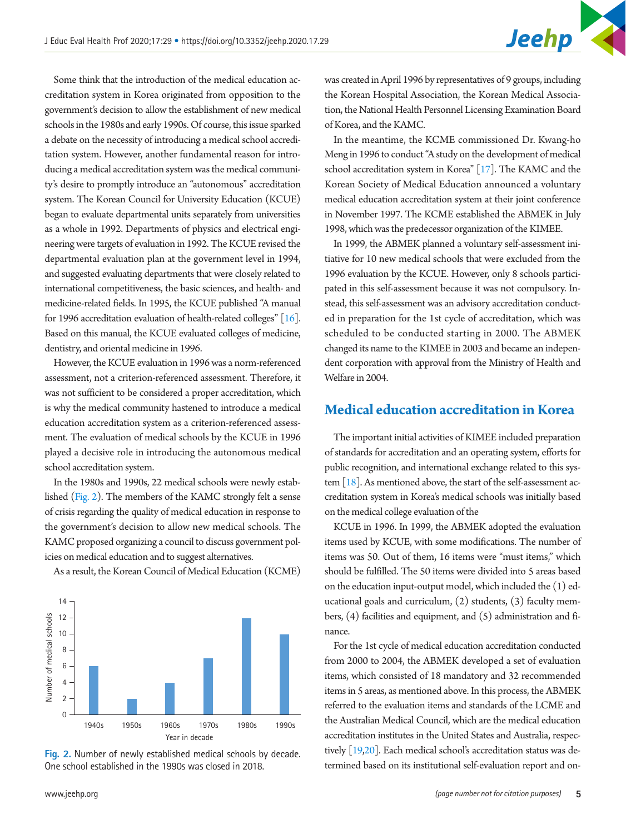Some think that the introduction of the medical education accreditation system in Korea originated from opposition to the government's decision to allow the establishment of new medical schools in the 1980s and early 1990s. Of course, this issue sparked a debate on the necessity of introducing a medical school accreditation system. However, another fundamental reason for introducing a medical accreditation system was the medical community's desire to promptly introduce an "autonomous" accreditation system. The Korean Council for University Education (KCUE) began to evaluate departmental units separately from universities as a whole in 1992. Departments of physics and electrical engineering were targets of evaluation in 1992. The KCUE revised the departmental evaluation plan at the government level in 1994, and suggested evaluating departments that were closely related to international competitiveness, the basic sciences, and health- and medicine-related fields. In 1995, the KCUE published "A manual for 1996 accreditation evaluation of health-related colleges" [[16](#page-7-8)]. Based on this manual, the KCUE evaluated colleges of medicine, dentistry, and oriental medicine in 1996.

However, the KCUE evaluation in 1996 was a norm-referenced assessment, not a criterion-referenced assessment. Therefore, it was not sufficient to be considered a proper accreditation, which is why the medical community hastened to introduce a medical education accreditation system as a criterion-referenced assessment. The evaluation of medical schools by the KCUE in 1996 played a decisive role in introducing the autonomous medical school accreditation system.

In the 1980s and 1990s, 22 medical schools were newly established [\(Fig. 2](#page-4-0)). The members of the KAMC strongly felt a sense of crisis regarding the quality of medical education in response to the government's decision to allow new medical schools. The KAMC proposed organizing a council to discuss government policies on medical education and to suggest alternatives.

As a result, the Korean Council of Medical Education (KCME)

<span id="page-4-0"></span>

**Fig. 2.** Number of newly established medical schools by decade. One school established in the 1990s was closed in 2018.

was created in April 1996 by representatives of 9 groups, including the Korean Hospital Association, the Korean Medical Association, the National Health Personnel Licensing Examination Board of Korea, and the KAMC.

In the meantime, the KCME commissioned Dr. Kwang-ho Meng in 1996 to conduct "A study on the development of medical school accreditation system in Korea"  $[17]$ . The KAMC and the Korean Society of Medical Education announced a voluntary medical education accreditation system at their joint conference in November 1997. The KCME established the ABMEK in July 1998, which was the predecessor organization of the KIMEE.

In 1999, the ABMEK planned a voluntary self-assessment initiative for 10 new medical schools that were excluded from the 1996 evaluation by the KCUE. However, only 8 schools participated in this self-assessment because it was not compulsory. Instead, this self-assessment was an advisory accreditation conducted in preparation for the 1st cycle of accreditation, which was scheduled to be conducted starting in 2000. The ABMEK changed its name to the KIMEE in 2003 and became an independent corporation with approval from the Ministry of Health and Welfare in 2004.

#### **Medical education accreditation in Korea**

The important initial activities of KIMEE included preparation of standards for accreditation and an operating system, efforts for public recognition, and international exchange related to this system  $\lceil 18 \rceil$ . As mentioned above, the start of the self-assessment accreditation system in Korea's medical schools was initially based on the medical college evaluation of the

KCUE in 1996. In 1999, the ABMEK adopted the evaluation items used by KCUE, with some modifications. The number of items was 50. Out of them, 16 items were "must items," which should be fulfilled. The 50 items were divided into 5 areas based on the education input-output model, which included the (1) educational goals and curriculum, (2) students, (3) faculty members, (4) facilities and equipment, and (5) administration and finance.

For the 1st cycle of medical education accreditation conducted from 2000 to 2004, the ABMEK developed a set of evaluation items, which consisted of 18 mandatory and 32 recommended items in 5 areas, as mentioned above. In this process, the ABMEK referred to the evaluation items and standards of the LCME and the Australian Medical Council, which are the medical education accreditation institutes in the United States and Australia, respectively  $[19,20]$  $[19,20]$  $[19,20]$ . Each medical school's accreditation status was determined based on its institutional self-evaluation report and on-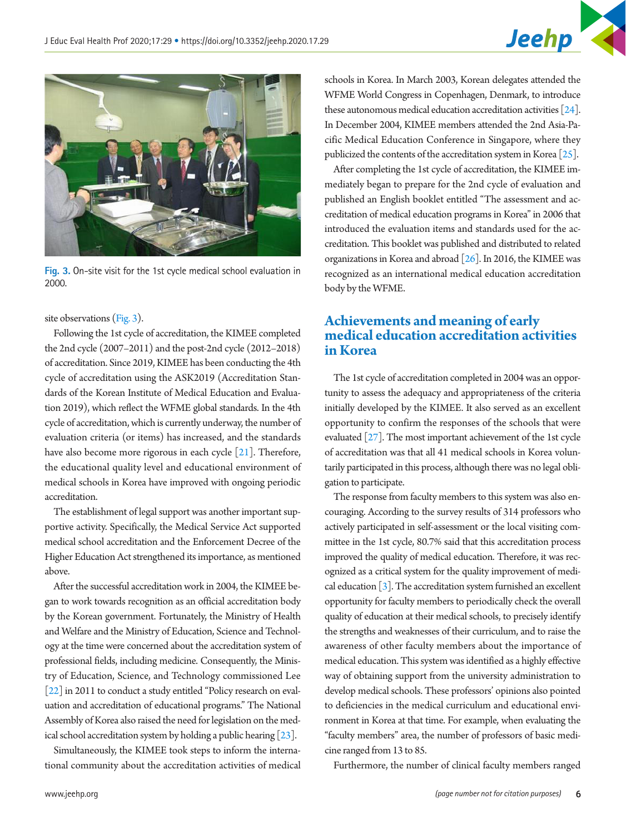

<span id="page-5-0"></span>

**Fig. 3.** On-site visit for the 1st cycle medical school evaluation in 2000.

site observations [\(Fig. 3\)](#page-5-0).

Following the 1st cycle of accreditation, the KIMEE completed the 2nd cycle (2007–2011) and the post-2nd cycle (2012–2018) of accreditation. Since 2019, KIMEE has been conducting the 4th cycle of accreditation using the ASK2019 (Accreditation Standards of the Korean Institute of Medical Education and Evaluation 2019), which reflect the WFME global standards. In the 4th cycle of accreditation, which is currently underway, the number of evaluation criteria (or items) has increased, and the standards have also become more rigorous in each cycle [\[21](#page-7-13)]. Therefore, the educational quality level and educational environment of medical schools in Korea have improved with ongoing periodic accreditation.

The establishment of legal support was another important supportive activity. Specifically, the Medical Service Act supported medical school accreditation and the Enforcement Decree of the Higher Education Act strengthened its importance, as mentioned above.

After the successful accreditation work in 2004, the KIMEE began to work towards recognition as an official accreditation body by the Korean government. Fortunately, the Ministry of Health and Welfare and the Ministry of Education, Science and Technology at the time were concerned about the accreditation system of professional fields, including medicine. Consequently, the Ministry of Education, Science, and Technology commissioned Lee [\[22\]](#page-7-14) in 2011 to conduct a study entitled "Policy research on evaluation and accreditation of educational programs." The National Assembly of Korea also raised the need for legislation on the medical school accreditation system by holding a public hearing [\[23\]](#page-7-15).

Simultaneously, the KIMEE took steps to inform the international community about the accreditation activities of medical

schools in Korea. In March 2003, Korean delegates attended the WFME World Congress in Copenhagen, Denmark, to introduce these autonomous medical education accreditation activities  $[24]$ . In December 2004, KIMEE members attended the 2nd Asia-Pacific Medical Education Conference in Singapore, where they publicized the contents of the accreditation system in Korea [\[25\]](#page-7-17).

After completing the 1st cycle of accreditation, the KIMEE immediately began to prepare for the 2nd cycle of evaluation and published an English booklet entitled "The assessment and accreditation of medical education programs in Korea" in 2006 that introduced the evaluation items and standards used for the accreditation. This booklet was published and distributed to related organizations in Korea and abroad [\[26](#page-7-18)]. In 2016, the KIMEE was recognized as an international medical education accreditation body by the WFME.

# **Achievements and meaning of early medical education accreditation activities in Korea**

The 1st cycle of accreditation completed in 2004 was an opportunity to assess the adequacy and appropriateness of the criteria initially developed by the KIMEE. It also served as an excellent opportunity to confirm the responses of the schools that were evaluated [\[27\]](#page-7-19). The most important achievement of the 1st cycle of accreditation was that all 41 medical schools in Korea voluntarily participated in this process, although there was no legal obligation to participate.

The response from faculty members to this system was also encouraging. According to the survey results of 314 professors who actively participated in self-assessment or the local visiting committee in the 1st cycle, 80.7% said that this accreditation process improved the quality of medical education. Therefore, it was recognized as a critical system for the quality improvement of medical education [3]. The accreditation system furnished an excellent opportunity for faculty members to periodically check the overall quality of education at their medical schools, to precisely identify the strengths and weaknesses of their curriculum, and to raise the awareness of other faculty members about the importance of medical education. This system was identified as a highly effective way of obtaining support from the university administration to develop medical schools. These professors' opinions also pointed to deficiencies in the medical curriculum and educational environment in Korea at that time. For example, when evaluating the "faculty members" area, the number of professors of basic medicine ranged from 13 to 85.

Furthermore, the number of clinical faculty members ranged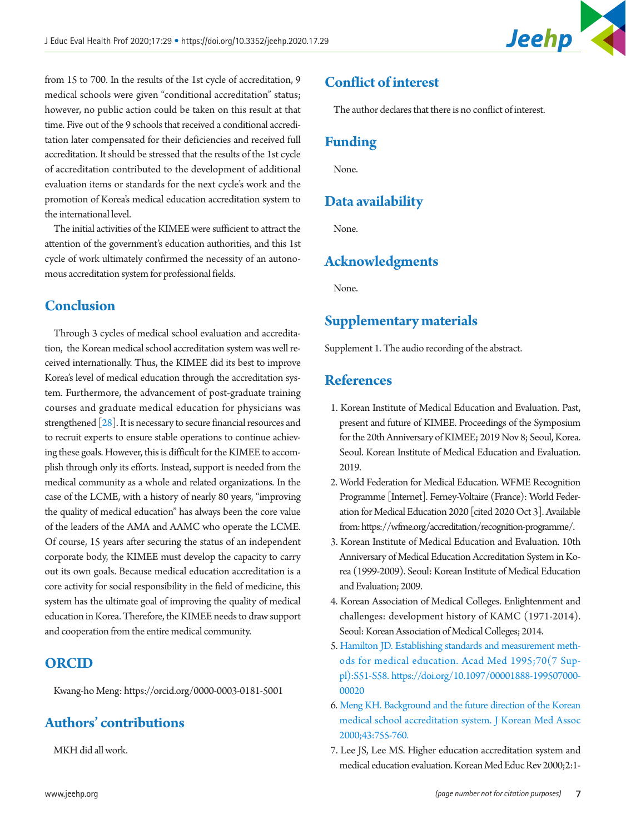

from 15 to 700. In the results of the 1st cycle of accreditation, 9 medical schools were given "conditional accreditation" status; however, no public action could be taken on this result at that time. Five out of the 9 schools that received a conditional accreditation later compensated for their deficiencies and received full accreditation. It should be stressed that the results of the 1st cycle of accreditation contributed to the development of additional evaluation items or standards for the next cycle's work and the promotion of Korea's medical education accreditation system to the international level.

The initial activities of the KIMEE were sufficient to attract the attention of the government's education authorities, and this 1st cycle of work ultimately confirmed the necessity of an autonomous accreditation system for professional fields.

# **Conclusion**

Through 3 cycles of medical school evaluation and accreditation, the Korean medical school accreditation system was well received internationally. Thus, the KIMEE did its best to improve Korea's level of medical education through the accreditation system. Furthermore, the advancement of post-graduate training courses and graduate medical education for physicians was strengthened [\[28\]](#page-7-20). It is necessary to secure financial resources and to recruit experts to ensure stable operations to continue achieving these goals. However, this is difficult for the KIMEE to accomplish through only its efforts. Instead, support is needed from the medical community as a whole and related organizations. In the case of the LCME, with a history of nearly 80 years, "improving the quality of medical education" has always been the core value of the leaders of the AMA and AAMC who operate the LCME. Of course, 15 years after securing the status of an independent corporate body, the KIMEE must develop the capacity to carry out its own goals. Because medical education accreditation is a core activity for social responsibility in the field of medicine, this system has the ultimate goal of improving the quality of medical education in Korea. Therefore, the KIMEE needs to draw support and cooperation from the entire medical community.

#### **ORCID**

Kwang-ho Meng[: https://orcid.org/0000-0003-0181-5001](http://orcid.org/0000-0003-0181-5001)

# **Authors' contributions**

MKH did all work.

# **Conflict of interest**

The author declares that there is no conflict of interest.

# **Funding**

None.

# **Data availability**

None.

# **Acknowledgments**

None.

#### **Supplementary materials**

Supplement 1. The audio recording of the abstract.

### **References**

- <span id="page-6-0"></span>1. Korean Institute of Medical Education and Evaluation. Past, present and future of KIMEE. Proceedings of the Symposium for the 20th Anniversary of KIMEE; 2019 Nov 8; Seoul, Korea. Seoul. Korean Institute of Medical Education and Evaluation. 2019.
- <span id="page-6-1"></span>2. World Federation for Medical Education. WFME Recognition Programme [Internet]. Ferney-Voltaire (France): World Federation for Medical Education 2020 [cited 2020 Oct 3]. Available from: https://wfme.org/accreditation/recognition-programme/.
- <span id="page-6-2"></span>3. Korean Institute of Medical Education and Evaluation. 10th Anniversary of Medical Education Accreditation System in Korea (1999-2009). Seoul: Korean Institute of Medical Education and Evaluation; 2009.
- <span id="page-6-3"></span>4. Korean Association of Medical Colleges. Enlightenment and challenges: development history of KAMC (1971-2014). Seoul: Korean Association of Medical Colleges; 2014.
- <span id="page-6-4"></span>[5. Hamilton JD. Establishing standards and measurement meth](https://doi.org/10.1097/00001888-199507000-00020)[ods for medical education. Acad Med 1995;70\(7 Sup](https://doi.org/10.1097/00001888-199507000-00020)[pl\):S51-S58. https://doi.org/10.1097/00001888-199507000-](https://doi.org/10.1097/00001888-199507000-00020) [00020](https://doi.org/10.1097/00001888-199507000-00020)
- <span id="page-6-5"></span>[6. Meng KH. Background and the future direction of the Korean](https://doi.org/10.5124/jkma.2000.43.8.755)  [medical school accreditation system. J Korean Med Assoc](https://doi.org/10.5124/jkma.2000.43.8.755)  [2000;43:755-760](https://doi.org/10.5124/jkma.2000.43.8.755).
- <span id="page-6-6"></span>7. Lee JS, Lee MS. Higher education accreditation system and medical education evaluation. Korean Med Educ Rev 2000;2:1-